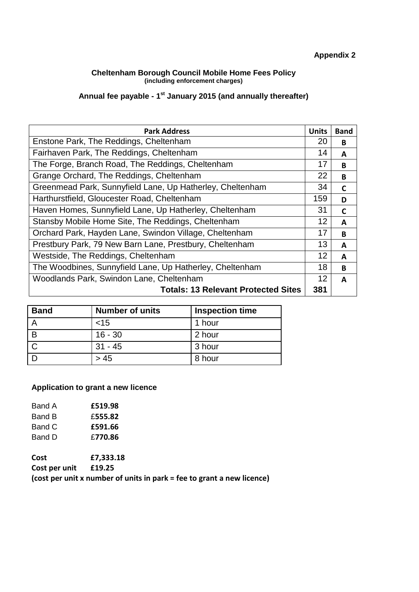# **Appendix 2**

#### **Cheltenham Borough Council Mobile Home Fees Policy (including enforcement charges)**

#### **Annual fee payable - 1 st January 2015 (and annually thereafter)**

| <b>Park Address</b>                                       | <b>Units</b> | <b>Band</b> |
|-----------------------------------------------------------|--------------|-------------|
| Enstone Park, The Reddings, Cheltenham                    | 20           | B           |
| Fairhaven Park, The Reddings, Cheltenham                  | 14           | A           |
| The Forge, Branch Road, The Reddings, Cheltenham          | 17           | B           |
| Grange Orchard, The Reddings, Cheltenham                  | 22           | B           |
| Greenmead Park, Sunnyfield Lane, Up Hatherley, Cheltenham | 34           | C           |
| Harthurstfield, Gloucester Road, Cheltenham               | 159          | D           |
| Haven Homes, Sunnyfield Lane, Up Hatherley, Cheltenham    | 31           | C           |
| Stansby Mobile Home Site, The Reddings, Cheltenham        | 12           | A           |
| Orchard Park, Hayden Lane, Swindon Village, Cheltenham    | 17           | B           |
| Prestbury Park, 79 New Barn Lane, Prestbury, Cheltenham   | 13           | A           |
| Westside, The Reddings, Cheltenham                        | 12           | A           |
| The Woodbines, Sunnyfield Lane, Up Hatherley, Cheltenham  | 18           | B           |
| Woodlands Park, Swindon Lane, Cheltenham                  | 12           | A           |
| <b>Totals: 13 Relevant Protected Sites</b>                | 381          |             |

| <b>Band</b> | <b>Number of units</b> | <b>Inspection time</b> |
|-------------|------------------------|------------------------|
|             | ~15                    | 1 hour                 |
| B           | $16 - 30$              | 2 hour                 |
|             | $31 - 45$              | 3 hour                 |
|             | > 45                   | 8 hour                 |

#### **Application to grant a new licence**

| £519.98 |
|---------|
| £555.82 |
| £591.66 |
| £770.86 |
|         |

**Cost £7,333.18 Cost per unit £19.25 (cost per unit x number of units in park = fee to grant a new licence)**